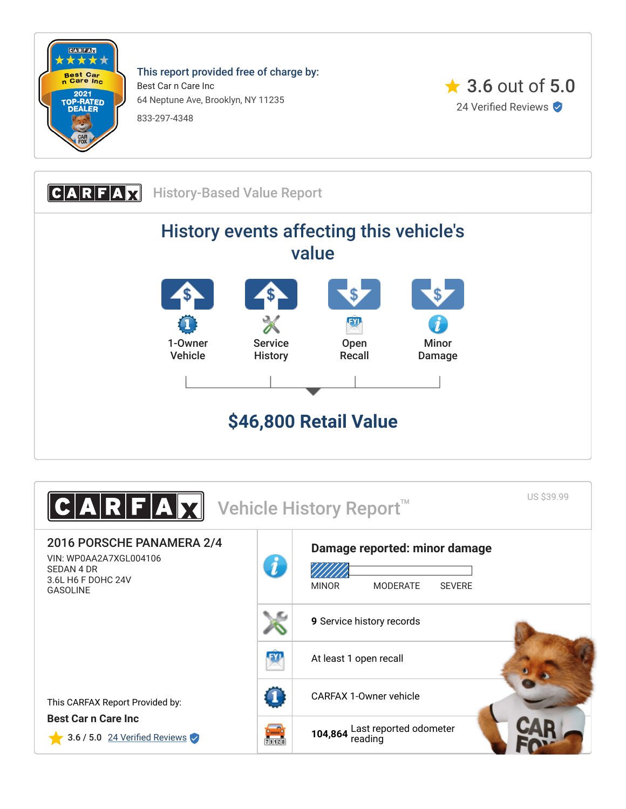

This report provided free of charge by: Best Car n Care Inc 64 Neptune Ave, Brooklyn, NY 11235 833-297-4348





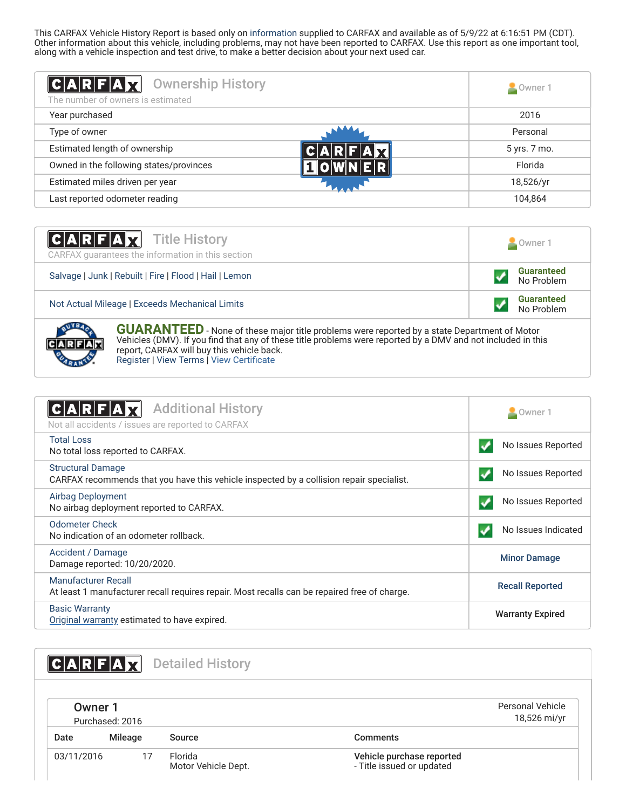This CARFAX Vehicle History Report is based only on [information](http://www.carfax.com/company/vhr-data-sources) supplied to CARFAX and available as of 5/9/22 at 6:16:51 PM (CDT). Other information about this vehicle, including problems, may not have been reported to CARFAX. Use this report as one important tool, along with a vehicle inspection and test drive, to make a better decision about your next used car.

<span id="page-1-2"></span>

| $ C $ A $ R F $ A $ x $<br><b>Ownership History</b><br>The number of owners is estimated | Owner 1      |
|------------------------------------------------------------------------------------------|--------------|
| Year purchased                                                                           | 2016         |
| Type of owner                                                                            | Personal     |
| Estimated length of ownership                                                            | 5 yrs. 7 mo. |
| Owned in the following states/provinces                                                  | Florida      |
| Estimated miles driven per year                                                          | 18,526/yr    |
| Last reported odometer reading                                                           | 104,864      |

| <b>CARFAX</b> Title History<br>CARFAX quarantees the information in this section | $\sim$ Owner 1                  |  |
|----------------------------------------------------------------------------------|---------------------------------|--|
| Salvage   Junk   Rebuilt   Fire   Flood   Hail   Lemon                           | <b>Guaranteed</b><br>No Problem |  |
| Not Actual Mileage   Exceeds Mechanical Limits                                   | <b>Guaranteed</b><br>No Problem |  |



**GUARANTEED** - None of these major title problems were reported by a state Department of Motor Vehicles (DMV). If you find that any of these title problems were reported by a DMV and not included in this report, CARFAX will buy this vehicle back. [Register](https://www.carfax.com/Service/bbg) | [View Terms](http://www.carfaxonline.com/legal/bbgTerms) | [View Certificate](https://www.carfaxonline.com/vhrs/WP0AA2A7XGL004106)

<span id="page-1-0"></span>

| <b>Additional History</b><br>C A R F A <br>Not all accidents / issues are reported to CARFAX                         | Owner 1                 |
|----------------------------------------------------------------------------------------------------------------------|-------------------------|
| <b>Total Loss</b><br>No total loss reported to CARFAX.                                                               | No Issues Reported      |
| <b>Structural Damage</b><br>CARFAX recommends that you have this vehicle inspected by a collision repair specialist. | No Issues Reported      |
| <b>Airbag Deployment</b><br>No airbag deployment reported to CARFAX.                                                 | No Issues Reported      |
| <b>Odometer Check</b><br>No indication of an odometer rollback.                                                      | No Issues Indicated     |
| Accident / Damage<br>Damage reported: 10/20/2020.                                                                    | <b>Minor Damage</b>     |
| Manufacturer Recall<br>At least 1 manufacturer recall requires repair. Most recalls can be repaired free of charge.  | <b>Recall Reported</b>  |
| <b>Basic Warranty</b><br>Original warranty estimated to have expired.                                                | <b>Warranty Expired</b> |

<span id="page-1-3"></span><span id="page-1-1"></span>

| $A$ $R$ $F$ $A$ $Y$ |                 | <b>Detailed History</b>        |                                                        |  |
|---------------------|-----------------|--------------------------------|--------------------------------------------------------|--|
| Owner 1             | Purchased: 2016 |                                | Personal Vehicle<br>18,526 mi/yr                       |  |
| Date                | Mileage         | Source                         | <b>Comments</b>                                        |  |
| 03/11/2016          | 17              | Florida<br>Motor Vehicle Dept. | Vehicle purchase reported<br>- Title issued or updated |  |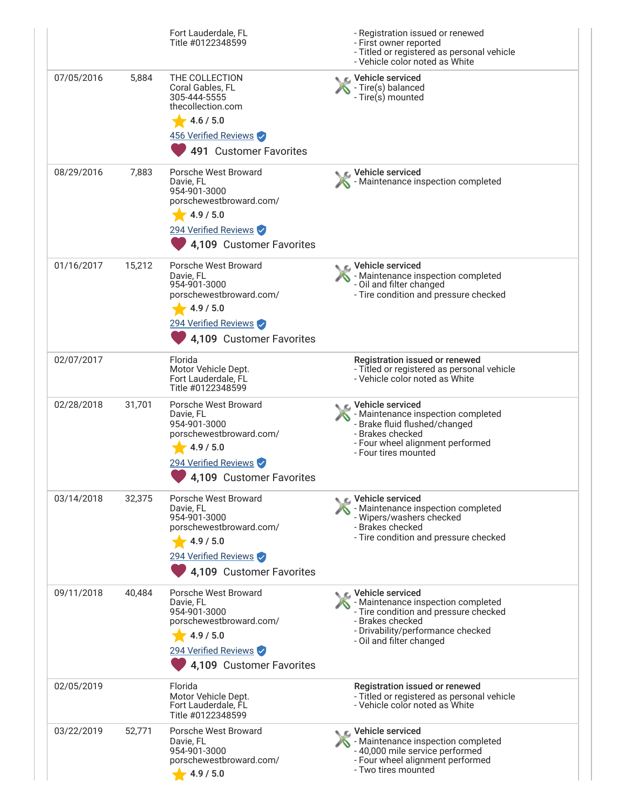|            |        | Fort Lauderdale, FL<br>Title #0122348599                                                                                                      | - Registration issued or renewed<br>- First owner reported<br>- Titled or registered as personal vehicle<br>- Vehicle color noted as White                                                   |
|------------|--------|-----------------------------------------------------------------------------------------------------------------------------------------------|----------------------------------------------------------------------------------------------------------------------------------------------------------------------------------------------|
| 07/05/2016 | 5,884  | THE COLLECTION<br>Coral Gables, FL<br>305-444-5555<br>thecollection.com<br>4.6 / 5.0<br>456 Verified Reviews<br>491 Customer Favorites        | ic⊾ Vehicle serviced<br>- Tire(s) balanced<br>- Tire(s) mounted                                                                                                                              |
| 08/29/2016 | 7,883  | Porsche West Broward<br>Davie, FL<br>954-901-3000<br>porschewestbroward.com/<br>4.9 / 5.0<br>294 Verified Reviews<br>4,109 Customer Favorites | Vehicle serviced<br>- Maintenance inspection completed                                                                                                                                       |
| 01/16/2017 | 15,212 | Porsche West Broward<br>Davie, FL<br>954-901-3000<br>porschewestbroward.com/<br>4.9 / 5.0<br>294 Verified Reviews<br>4,109 Customer Favorites | C Vehicle serviced<br>- Maintenance inspection completed<br>- Oil and filter changed<br>- Tire condition and pressure checked                                                                |
| 02/07/2017 |        | Florida<br>Motor Vehicle Dept.<br>Fort Lauderdale, FL<br>Title #0122348599                                                                    | Registration issued or renewed<br>- Titled or registered as personal vehicle<br>- Vehicle color noted as White                                                                               |
| 02/28/2018 | 31,701 | Porsche West Broward<br>Davie, FL<br>954-901-3000<br>porschewestbroward.com/<br>4.9 / 5.0<br>294 Verified Reviews<br>4,109 Customer Favorites | $\bullet$ $\epsilon$ Vehicle serviced<br>- Maintenance inspection completed<br>- Brake fluid flushed/changed<br>- Brakes checked<br>- Four wheel alignment performed<br>- Four tires mounted |
| 03/14/2018 | 32,375 | Porsche West Broward<br>Davie, FL<br>954-901-3000<br>porschewestbroward.com/<br>4.9 / 5.0<br>294 Verified Reviews<br>4,109 Customer Favorites | <b>€</b> Vehicle serviced<br>- Maintenance inspection completed<br>- Wipers/washers checked<br>- Brakes checked<br>- Tire condition and pressure checked                                     |
| 09/11/2018 | 40,484 | Porsche West Broward<br>Davie, FL<br>954-901-3000<br>porschewestbroward.com/<br>4.9 / 5.0<br>294 Verified Reviews<br>4,109 Customer Favorites | C Vehicle serviced<br>- Maintenance inspection completed<br>- Tire condition and pressure checked<br>- Brakes checked<br>- Drivability/performance checked<br>- Oil and filter changed       |
| 02/05/2019 |        | Florida<br>Motor Vehicle Dept.<br>Fort Lauderdale, FL<br>Title #0122348599                                                                    | Registration issued or renewed<br>- Titled or registered as personal vehicle<br>- Vehicle color noted as White                                                                               |
| 03/22/2019 | 52,771 | Porsche West Broward<br>Davie, FL<br>954-901-3000<br>porschewestbroward.com/<br>4.9 / 5.0                                                     | ic⊾ Vehicle serviced<br>- Maintenance inspection completed<br>- 40,000 mile service performed<br>- Four wheel alignment performed<br>- Two tires mounted                                     |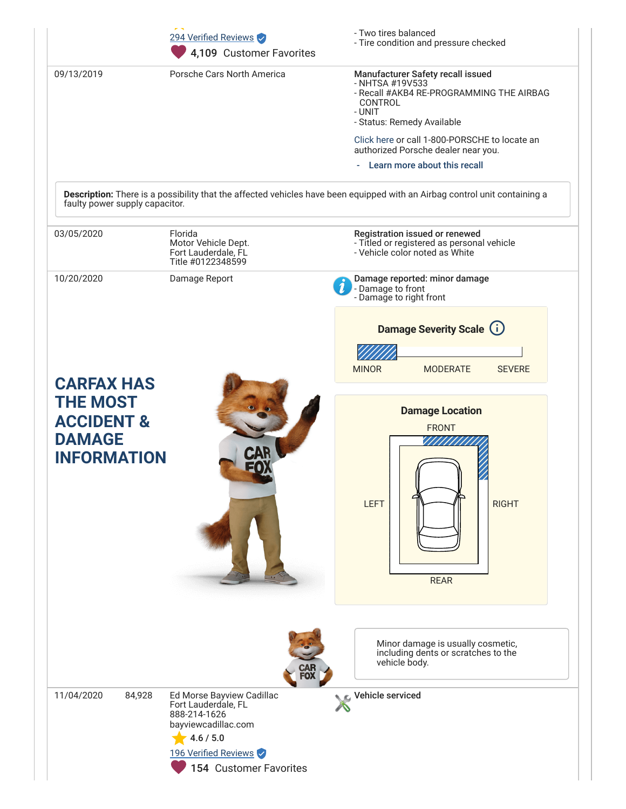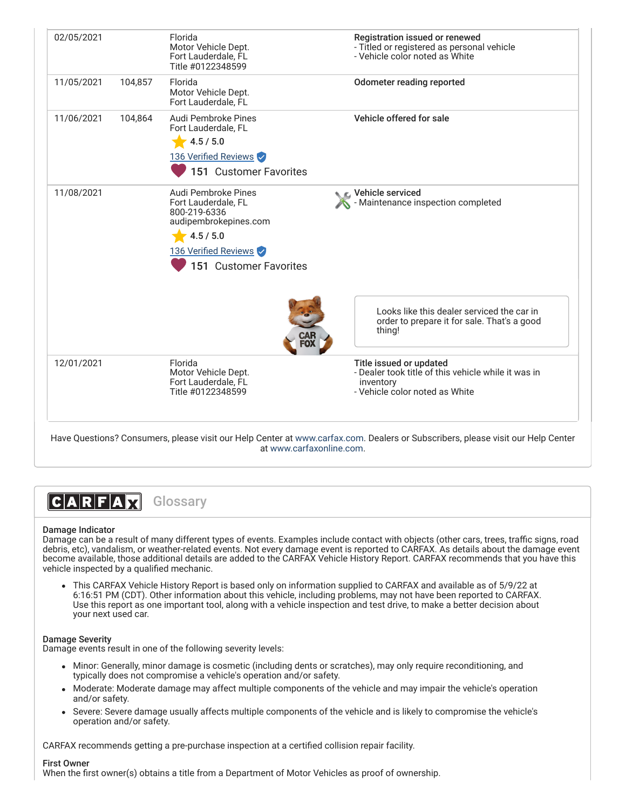| 02/05/2021 |         | Florida<br>Motor Vehicle Dept.<br>Fort Lauderdale, FL<br>Title #0122348599                                                                         | Registration issued or renewed<br>- Titled or registered as personal vehicle<br>- Vehicle color noted as White                |
|------------|---------|----------------------------------------------------------------------------------------------------------------------------------------------------|-------------------------------------------------------------------------------------------------------------------------------|
| 11/05/2021 | 104,857 | Florida<br>Motor Vehicle Dept.<br>Fort Lauderdale, FL                                                                                              | Odometer reading reported                                                                                                     |
| 11/06/2021 | 104,864 | Audi Pembroke Pines<br>Fort Lauderdale, FL<br>4.5 / 5.0<br>136 Verified Reviews<br>151 Customer Favorites                                          | Vehicle offered for sale                                                                                                      |
| 11/08/2021 |         | Audi Pembroke Pines<br>Fort Lauderdale, FL<br>800-219-6336<br>audipembrokepines.com<br>4.5 / 5.0<br>136 Verified Reviews<br>151 Customer Favorites | ९ ⊾ Vehicle serviced<br>Maintenance inspection completed                                                                      |
|            |         |                                                                                                                                                    | Looks like this dealer serviced the car in<br>order to prepare it for sale. That's a good<br>thing!                           |
| 12/01/2021 |         | Florida<br>Motor Vehicle Dept.<br>Fort Lauderdale, FL<br>Title #0122348599                                                                         | Title issued or updated<br>- Dealer took title of this vehicle while it was in<br>inventory<br>- Vehicle color noted as White |

Have Questions? Consumers, please visit our Help Center at [www.carfax.com](http://www.carfax.com/help). Dealers or Subscribers, please visit our Help Center at [www.carfaxonline.com.](http://www.carfaxonline.com/)

 $|C|A|R|F|A|Z|$ Glossary

# Damage Indicator

Damage can be a result of many different types of events. Examples include contact with objects (other cars, trees, traffic signs, road debris, etc), vandalism, or weather-related events. Not every damage event is reported to CARFAX. As details about the damage event become available, those additional details are added to the CARFAX Vehicle History Report. CARFAX recommends that you have this vehicle inspected by a qualified mechanic.

This CARFAX Vehicle History Report is based only on information supplied to CARFAX and available as of 5/9/22 at 6:16:51 PM (CDT). Other information about this vehicle, including problems, may not have been reported to CARFAX. Use this report as one important tool, along with a vehicle inspection and test drive, to make a better decision about your next used car.

#### Damage Severity

Damage events result in one of the following severity levels:

- Minor: Generally, minor damage is cosmetic (including dents or scratches), may only require reconditioning, and typically does not compromise a vehicle's operation and/or safety.
- Moderate: Moderate damage may affect multiple components of the vehicle and may impair the vehicle's operation and/or safety.
- Severe: Severe damage usually affects multiple components of the vehicle and is likely to compromise the vehicle's operation and/or safety.

CARFAX recommends getting a pre-purchase inspection at a certified collision repair facility.

## First Owner

When the first owner(s) obtains a title from a Department of Motor Vehicles as proof of ownership.